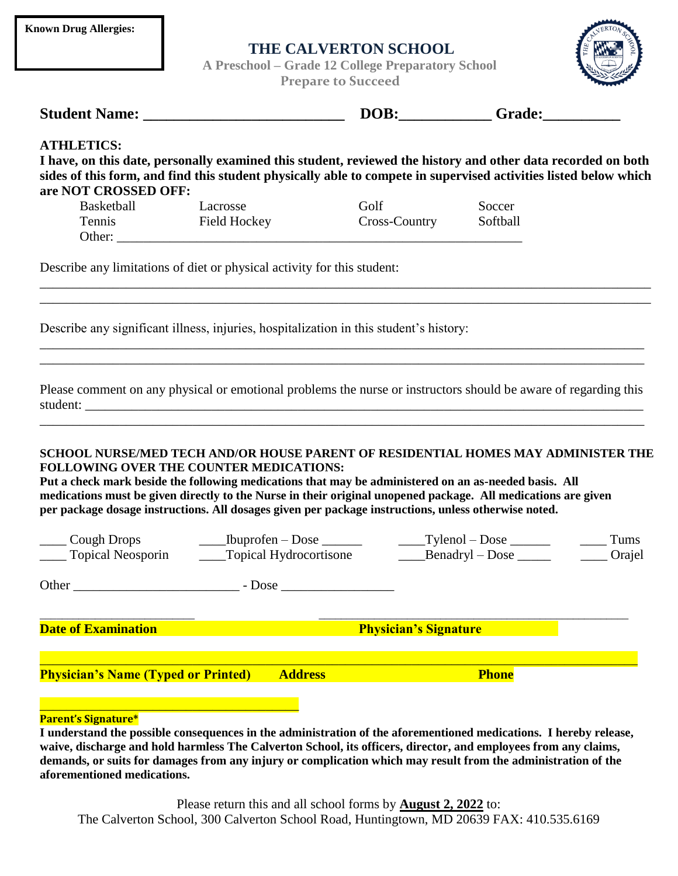| <b>Known Drug Allergies:</b> |  |
|------------------------------|--|
|------------------------------|--|

## **THE CALVERTON SCHOOL**

 **A Preschool – Grade 12 College Preparatory School** 



|                                                                                                                                                                                                                                                                               | <b>Prepare to Succeed</b>                                                                                                                                                                                                                                                                                                                                                                                                                                             |                              |              |      |  |
|-------------------------------------------------------------------------------------------------------------------------------------------------------------------------------------------------------------------------------------------------------------------------------|-----------------------------------------------------------------------------------------------------------------------------------------------------------------------------------------------------------------------------------------------------------------------------------------------------------------------------------------------------------------------------------------------------------------------------------------------------------------------|------------------------------|--------------|------|--|
|                                                                                                                                                                                                                                                                               |                                                                                                                                                                                                                                                                                                                                                                                                                                                                       |                              |              |      |  |
| <b>ATHLETICS:</b><br>I have, on this date, personally examined this student, reviewed the history and other data recorded on both<br>sides of this form, and find this student physically able to compete in supervised activities listed below which<br>are NOT CROSSED OFF: |                                                                                                                                                                                                                                                                                                                                                                                                                                                                       |                              |              |      |  |
| Basketball                                                                                                                                                                                                                                                                    | Lacrosse                                                                                                                                                                                                                                                                                                                                                                                                                                                              | Golf                         | Soccer       |      |  |
|                                                                                                                                                                                                                                                                               | Tennis Field Hockey<br>Other:                                                                                                                                                                                                                                                                                                                                                                                                                                         | Cross-Country                | Softball     |      |  |
| Describe any limitations of diet or physical activity for this student:                                                                                                                                                                                                       |                                                                                                                                                                                                                                                                                                                                                                                                                                                                       |                              |              |      |  |
|                                                                                                                                                                                                                                                                               | Describe any significant illness, injuries, hospitalization in this student's history:                                                                                                                                                                                                                                                                                                                                                                                |                              |              |      |  |
|                                                                                                                                                                                                                                                                               | Please comment on any physical or emotional problems the nurse or instructors should be aware of regarding this<br>student:                                                                                                                                                                                                                                                                                                                                           |                              |              |      |  |
|                                                                                                                                                                                                                                                                               | SCHOOL NURSE/MED TECH AND/OR HOUSE PARENT OF RESIDENTIAL HOMES MAY ADMINISTER THE<br><b>FOLLOWING OVER THE COUNTER MEDICATIONS:</b><br>Put a check mark beside the following medications that may be administered on an as-needed basis. All<br>medications must be given directly to the Nurse in their original unopened package. All medications are given<br>per package dosage instructions. All dosages given per package instructions, unless otherwise noted. |                              |              |      |  |
|                                                                                                                                                                                                                                                                               |                                                                                                                                                                                                                                                                                                                                                                                                                                                                       |                              |              |      |  |
|                                                                                                                                                                                                                                                                               |                                                                                                                                                                                                                                                                                                                                                                                                                                                                       |                              |              | Tums |  |
|                                                                                                                                                                                                                                                                               | Topical Neosporin _______Topical Hydrocortisone ________Benadryl - Dose _______ ______Orajel                                                                                                                                                                                                                                                                                                                                                                          |                              |              |      |  |
|                                                                                                                                                                                                                                                                               |                                                                                                                                                                                                                                                                                                                                                                                                                                                                       |                              |              |      |  |
| <b>Date of Examination</b>                                                                                                                                                                                                                                                    |                                                                                                                                                                                                                                                                                                                                                                                                                                                                       | <b>Physician's Signature</b> |              |      |  |
| <b>Physician's Name (Typed or Printed)</b>                                                                                                                                                                                                                                    | <b>Address</b>                                                                                                                                                                                                                                                                                                                                                                                                                                                        |                              | <b>Phone</b> |      |  |

Please return this and all school forms by **August 2, 2022** to: The Calverton School, 300 Calverton School Road, Huntingtown, MD 20639 FAX: 410.535.6169